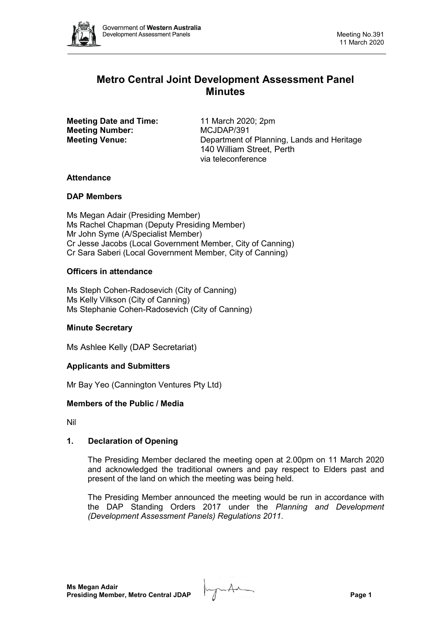

# **Metro Central Joint Development Assessment Panel Minutes**

**Meeting Date and Time:** 11 March 2020; 2pm<br> **Meeting Number:** MCJDAP/391 **Meeting Number:** 

**Meeting Venue:** Department of Planning, Lands and Heritage 140 William Street, Perth via teleconference

# **Attendance**

# **DAP Members**

Ms Megan Adair (Presiding Member) Ms Rachel Chapman (Deputy Presiding Member) Mr John Syme (A/Specialist Member) Cr Jesse Jacobs (Local Government Member, City of Canning) Cr Sara Saberi (Local Government Member, City of Canning)

# **Officers in attendance**

Ms Steph Cohen-Radosevich (City of Canning) Ms Kelly Vilkson (City of Canning) Ms Stephanie Cohen-Radosevich (City of Canning)

# **Minute Secretary**

Ms Ashlee Kelly (DAP Secretariat)

# **Applicants and Submitters**

Mr Bay Yeo (Cannington Ventures Pty Ltd)

# **Members of the Public / Media**

Nil

# **1. Declaration of Opening**

The Presiding Member declared the meeting open at 2.00pm on 11 March 2020 and acknowledged the traditional owners and pay respect to Elders past and present of the land on which the meeting was being held.

The Presiding Member announced the meeting would be run in accordance with the DAP Standing Orders 2017 under the *Planning and Development (Development Assessment Panels) Regulations 2011*.

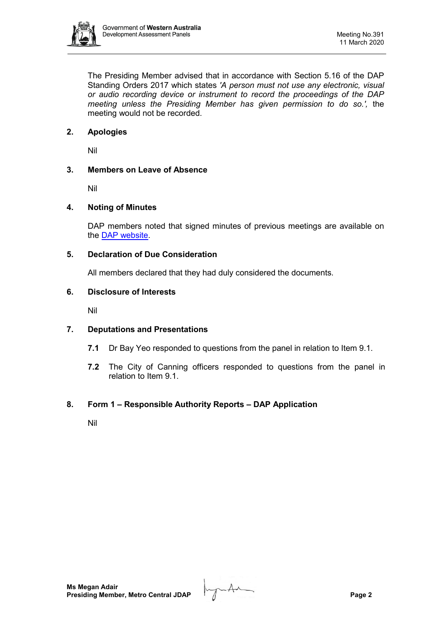

The Presiding Member advised that in accordance with Section 5.16 of the DAP Standing Orders 2017 which states *'A person must not use any electronic, visual or audio recording device or instrument to record the proceedings of the DAP meeting unless the Presiding Member has given permission to do so.',* the meeting would not be recorded.

# **2. Apologies**

Nil

# **3. Members on Leave of Absence**

Nil

# **4. Noting of Minutes**

DAP members noted that signed minutes of previous meetings are available on the [DAP website.](https://www.dplh.wa.gov.au/about/development-assessment-panels/daps-agendas-and-minutes)

#### **5. Declaration of Due Consideration**

All members declared that they had duly considered the documents.

#### **6. Disclosure of Interests**

Nil

# **7. Deputations and Presentations**

- **7.1** Dr Bay Yeo responded to questions from the panel in relation to Item 9.1.
- **7.2** The City of Canning officers responded to questions from the panel in relation to Item 9.1.

# **8. Form 1 – Responsible Authority Reports – DAP Application**

Nil

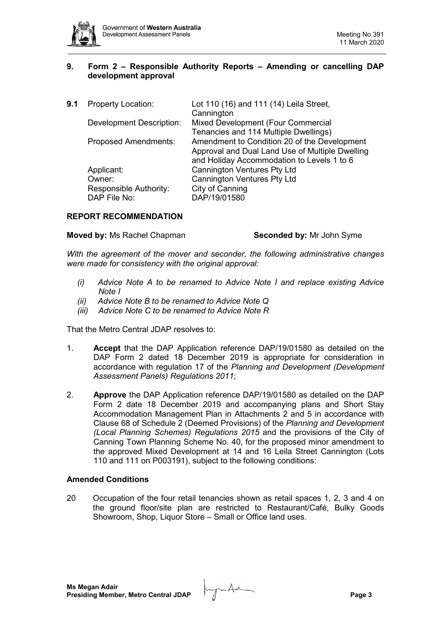

# **9. Form 2 – Responsible Authority Reports – Amending or cancelling DAP development approval**

| 9.1 | <b>Property Location:</b>       | Lot 110 (16) and 111 (14) Leila Street,         |
|-----|---------------------------------|-------------------------------------------------|
|     |                                 | Cannington                                      |
|     | <b>Development Description:</b> | Mixed Development (Four Commercial              |
|     |                                 | Tenancies and 114 Multiple Dwellings)           |
|     | <b>Proposed Amendments:</b>     | Amendment to Condition 20 of the Development    |
|     |                                 | Approval and Dual Land Use of Multiple Dwelling |
|     |                                 | and Holiday Accommodation to Levels 1 to 6      |
|     | Applicant:                      | <b>Cannington Ventures Pty Ltd</b>              |
|     | Owner:                          | <b>Cannington Ventures Pty Ltd</b>              |
|     | Responsible Authority:          | City of Canning                                 |
|     | DAP File No:                    | DAP/19/01580                                    |
|     |                                 |                                                 |

#### **REPORT RECOMMENDATION**

#### **Moved by:** Ms Rachel Chapman **Seconded by:** Mr John Syme

*With the agreement of the mover and seconder, the following administrative changes were made for consistency with the original approval:*

- *(i) Advice Note A to be renamed to Advice Note I and replace existing Advice Note I*
- *(ii) Advice Note B to be renamed to Advice Note Q*
- *(iii) Advice Note C to be renamed to Advice Note R*

That the Metro Central JDAP resolves to:

- 1. **Accept** that the DAP Application reference DAP/19/01580 as detailed on the DAP Form 2 dated 18 December 2019 is appropriate for consideration in accordance with regulation 17 of the *Planning and Development (Development Assessment Panels) Regulations 2011*;
- 2. **Approve** the DAP Application reference DAP/19/01580 as detailed on the DAP Form 2 date 18 December 2019 and accompanying plans and Short Stay Accommodation Management Plan in Attachments 2 and 5 in accordance with Clause 68 of Schedule 2 (Deemed Provisions) of the *Planning and Development (Local Planning Schemes) Regulations 2015* and the provisions of the City of Canning Town Planning Scheme No. 40, for the proposed minor amendment to the approved Mixed Development at 14 and 16 Leila Street Cannington (Lots 110 and 111 on P003191), subject to the following conditions:

#### **Amended Conditions**

20 Occupation of the four retail tenancies shown as retail spaces 1, 2, 3 and 4 on the ground floor/site plan are restricted to Restaurant/Café, Bulky Goods Showroom, Shop, Liquor Store – Small or Office land uses.

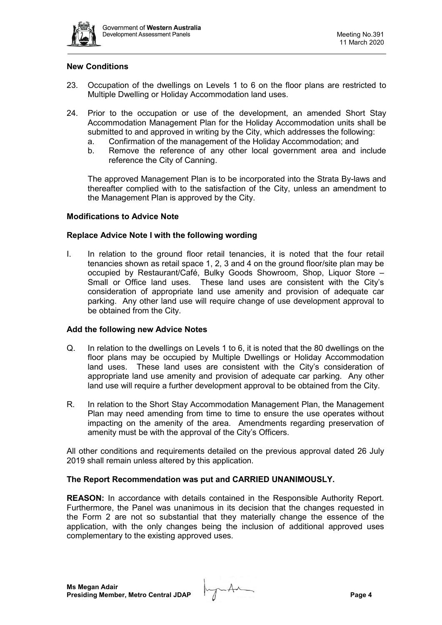

#### **New Conditions**

- 23. Occupation of the dwellings on Levels 1 to 6 on the floor plans are restricted to Multiple Dwelling or Holiday Accommodation land uses.
- 24. Prior to the occupation or use of the development, an amended Short Stay Accommodation Management Plan for the Holiday Accommodation units shall be submitted to and approved in writing by the City, which addresses the following:
	- a. Confirmation of the management of the Holiday Accommodation; and<br>b. Remove the reference of any other local government area and i
	- Remove the reference of any other local government area and include reference the City of Canning.

The approved Management Plan is to be incorporated into the Strata By-laws and thereafter complied with to the satisfaction of the City, unless an amendment to the Management Plan is approved by the City.

#### **Modifications to Advice Note**

#### **Replace Advice Note I with the following wording**

I. In relation to the ground floor retail tenancies, it is noted that the four retail tenancies shown as retail space 1, 2, 3 and 4 on the ground floor/site plan may be occupied by Restaurant/Café, Bulky Goods Showroom, Shop, Liquor Store – Small or Office land uses. These land uses are consistent with the City's consideration of appropriate land use amenity and provision of adequate car parking. Any other land use will require change of use development approval to be obtained from the City.

#### **Add the following new Advice Notes**

- Q. In relation to the dwellings on Levels 1 to 6, it is noted that the 80 dwellings on the floor plans may be occupied by Multiple Dwellings or Holiday Accommodation land uses. These land uses are consistent with the City's consideration of appropriate land use amenity and provision of adequate car parking. Any other land use will require a further development approval to be obtained from the City.
- R. In relation to the Short Stay Accommodation Management Plan, the Management Plan may need amending from time to time to ensure the use operates without impacting on the amenity of the area. Amendments regarding preservation of amenity must be with the approval of the City's Officers.

All other conditions and requirements detailed on the previous approval dated 26 July 2019 shall remain unless altered by this application.

#### **The Report Recommendation was put and CARRIED UNANIMOUSLY.**

**REASON:** In accordance with details contained in the Responsible Authority Report. Furthermore, the Panel was unanimous in its decision that the changes requested in the Form 2 are not so substantial that they materially change the essence of the application, with the only changes being the inclusion of additional approved uses complementary to the existing approved uses.